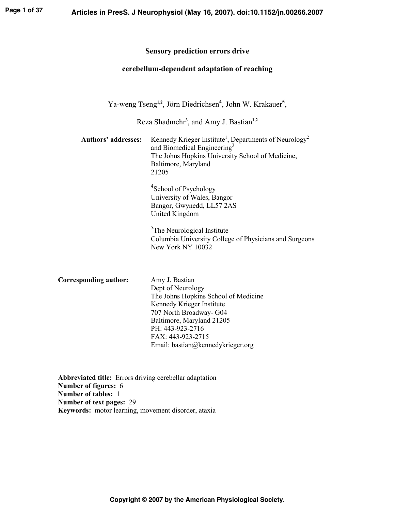# **Sensory prediction errors drive**

# **cerebellum-dependent adaptation of reaching**

Ya-weng Tseng**1,2** , Jörn Diedrichsen**<sup>4</sup>** , John W. Krakauer **5** ,

Reza Shadmehr **3** , and Amy J. Bastian**1,2**

| <b>Authors' addresses:</b> | Kennedy Krieger Institute <sup>1</sup> , Departments of Neurology <sup>2</sup> |
|----------------------------|--------------------------------------------------------------------------------|
|                            | and Biomedical Engineering <sup>3</sup>                                        |
|                            | The Johns Hopkins University School of Medicine,                               |
|                            | Baltimore, Maryland                                                            |
|                            | 21205                                                                          |
|                            |                                                                                |

<sup>4</sup>School of Psychology University of Wales, Bangor Bangor, Gwynedd, LL57 2AS United Kingdom

<sup>5</sup>The Neurological Institute Columbia University College of Physicians and Surgeons New York NY 10032

| <b>Corresponding author:</b> | Amy J. Bastian                       |
|------------------------------|--------------------------------------|
|                              | Dept of Neurology                    |
|                              | The Johns Hopkins School of Medicine |
|                              | Kennedy Krieger Institute            |
|                              | 707 North Broadway- G04              |
|                              | Baltimore, Maryland 21205            |
|                              | PH: 443-923-2716                     |
|                              | FAX: 443-923-2715                    |
|                              | Email: bastian@kennedykrieger.org    |

**Abbreviated title:** Errors driving cerebellar adaptation **Number of figures:** 6 **Number of tables:** 1 **Number of text pages:** 29 **Keywords:** motor learning, movement disorder, ataxia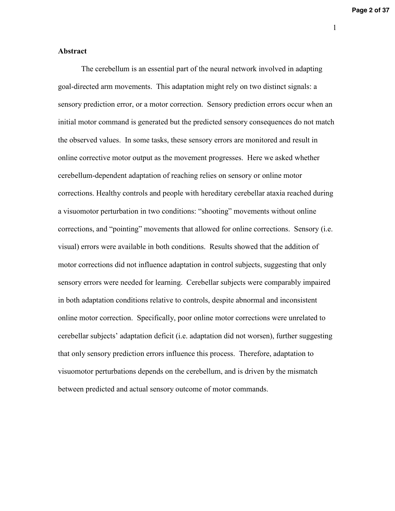#### **Abstract**

The cerebellum is an essential part of the neural network involved in adapting goal-directed arm movements. This adaptation might rely on two distinct signals: a sensory prediction error, or a motor correction. Sensory prediction errors occur when an initial motor command is generated but the predicted sensory consequences do not match the observed values. In some tasks, these sensory errors are monitored and result in online corrective motor output as the movement progresses. Here we asked whether cerebellum-dependent adaptation of reaching relies on sensory or online motor corrections. Healthy controls and people with hereditary cerebellar ataxia reached during a visuomotor perturbation in two conditions: "shooting" movements without online corrections, and "pointing" movements that allowed for online corrections. Sensory (i.e. visual) errors were available in both conditions. Results showed that the addition of motor corrections did not influence adaptation in control subjects, suggesting that only sensory errors were needed for learning. Cerebellar subjects were comparably impaired in both adaptation conditions relative to controls, despite abnormal and inconsistent online motor correction. Specifically, poor online motor corrections were unrelated to cerebellar subjects' adaptation deficit (i.e. adaptation did not worsen), further suggesting that only sensory prediction errors influence this process. Therefore, adaptation to visuomotor perturbations depends on the cerebellum, and is driven by the mismatch between predicted and actual sensory outcome of motor commands.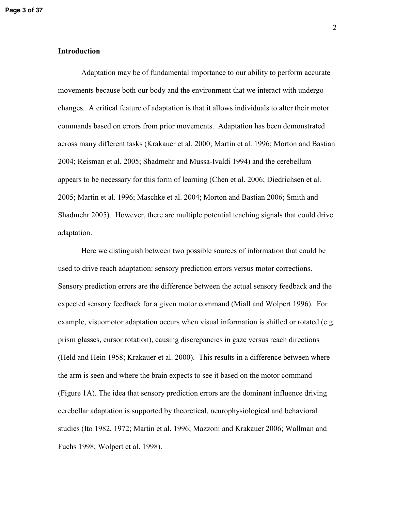# **Introduction**

Adaptation may be of fundamental importance to our ability to perform accurate movements because both our body and the environment that we interact with undergo changes. A critical feature of adaptation is that it allows individuals to alter their motor commands based on errors from prior movements. Adaptation has been demonstrated across many different tasks (Krakauer et al. 2000; Martin et al. 1996; Morton and Bastian 2004; Reisman et al. 2005; Shadmehr and Mussa-Ivaldi 1994) and the cerebellum appears to be necessary for this form of learning (Chen et al. 2006; Diedrichsen et al. 2005; Martin et al. 1996; Maschke et al. 2004; Morton and Bastian 2006; Smith and Shadmehr 2005). However, there are multiple potential teaching signals that could drive adaptation.

Here we distinguish between two possible sources of information that could be used to drive reach adaptation: sensory prediction errors versus motor corrections. Sensory prediction errors are the difference between the actual sensory feedback and the expected sensory feedback for a given motor command (Miall and Wolpert 1996). For example, visuomotor adaptation occurs when visual information is shifted or rotated (e.g. prism glasses, cursor rotation), causing discrepancies in gaze versus reach directions (Held and Hein 1958; Krakauer et al. 2000). This results in a difference between where the arm is seen and where the brain expects to see it based on the motor command (Figure 1A). The idea that sensory prediction errors are the dominant influence driving cerebellar adaptation is supported by theoretical, neurophysiological and behavioral studies (Ito 1982, 1972; Martin et al. 1996; Mazzoni and Krakauer 2006; Wallman and Fuchs 1998; Wolpert et al. 1998).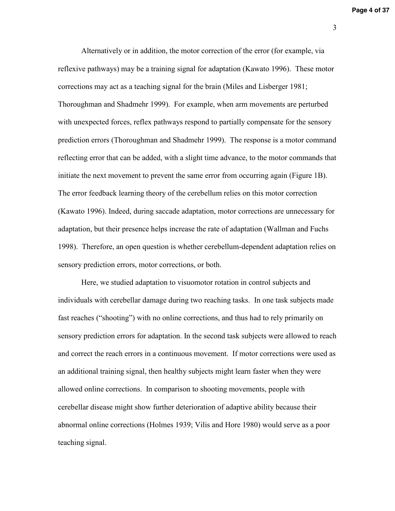**Page 4 of 37**

3

Alternatively or in addition, the motor correction of the error (for example, via reflexive pathways) may be a training signal for adaptation (Kawato 1996). These motor corrections may act as a teaching signal for the brain (Miles and Lisberger 1981; Thoroughman and Shadmehr 1999). For example, when arm movements are perturbed with unexpected forces, reflex pathways respond to partially compensate for the sensory prediction errors (Thoroughman and Shadmehr 1999). The response is a motor command reflecting error that can be added, with a slight time advance, to the motor commands that initiate the next movement to prevent the same error from occurring again (Figure 1B). The error feedback learning theory of the cerebellum relies on this motor correction (Kawato 1996). Indeed, during saccade adaptation, motor corrections are unnecessary for adaptation, but their presence helps increase the rate of adaptation (Wallman and Fuchs 1998). Therefore, an open question is whether cerebellum-dependent adaptation relies on sensory prediction errors, motor corrections, or both.

Here, we studied adaptation to visuomotor rotation in control subjects and individuals with cerebellar damage during two reaching tasks. In one task subjects made fast reaches ("shooting") with no online corrections, and thus had to rely primarily on sensory prediction errors for adaptation. In the second task subjects were allowed to reach and correct the reach errors in a continuous movement. If motor corrections were used as an additional training signal, then healthy subjects might learn faster when they were allowed online corrections. In comparison to shooting movements, people with cerebellar disease might show further deterioration of adaptive ability because their abnormal online corrections (Holmes 1939; Vilis and Hore 1980) would serve as a poor teaching signal.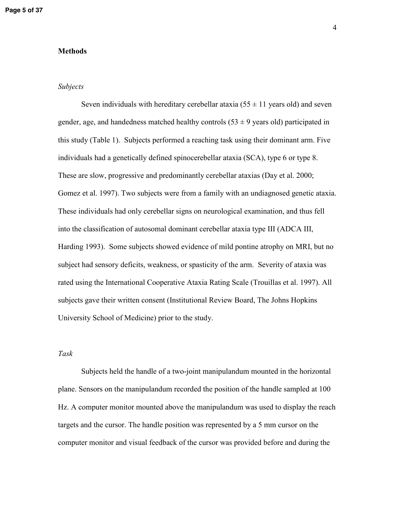## **Methods**

#### *Subjects*

Seven individuals with hereditary cerebellar ataxia  $(55 \pm 11)$  years old) and seven gender, age, and handedness matched healthy controls  $(53 \pm 9)$  years old) participated in this study (Table 1). Subjects performed a reaching task using their dominant arm. Five individuals had a genetically defined spinocerebellar ataxia (SCA), type 6 or type 8. These are slow, progressive and predominantly cerebellar ataxias (Day et al. 2000; Gomez et al. 1997). Two subjects were from a family with an undiagnosed genetic ataxia. These individuals had only cerebellar signs on neurological examination, and thus fell into the classification of autosomal dominant cerebellar ataxia type III (ADCA III, Harding 1993). Some subjects showed evidence of mild pontine atrophy on MRI, but no subject had sensory deficits, weakness, or spasticity of the arm. Severity of ataxia was rated using the International Cooperative Ataxia Rating Scale (Trouillas et al. 1997). All subjects gave their written consent (Institutional Review Board, The Johns Hopkins University School of Medicine) prior to the study.

# *Task*

Subjects held the handle of a two-joint manipulandum mounted in the horizontal plane. Sensors on the manipulandum recorded the position of the handle sampled at 100 Hz. A computer monitor mounted above the manipulandum was used to display the reach targets and the cursor. The handle position was represented by a 5 mm cursor on the computer monitor and visual feedback of the cursor was provided before and during the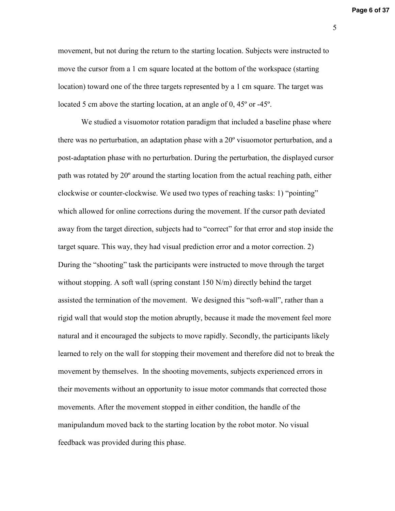**Page 6 of 37**

5

movement, but not during the return to the starting location. Subjects were instructed to move the cursor from a 1 cm square located at the bottom of the workspace (starting location) toward one of the three targets represented by a 1 cm square. The target was located 5 cm above the starting location, at an angle of 0, 45º or -45º.

We studied a visuomotor rotation paradigm that included a baseline phase where there was no perturbation, an adaptation phase with a 20º visuomotor perturbation, and a post-adaptation phase with no perturbation. During the perturbation, the displayed cursor path was rotated by 20º around the starting location from the actual reaching path, either clockwise or counter-clockwise. We used two types of reaching tasks: 1) "pointing" which allowed for online corrections during the movement. If the cursor path deviated away from the target direction, subjects had to "correct" for that error and stop inside the target square. This way, they had visual prediction error and a motor correction. 2) During the "shooting" task the participants were instructed to move through the target without stopping. A soft wall (spring constant 150 N/m) directly behind the target assisted the termination of the movement. We designed this "soft-wall", rather than a rigid wall that would stop the motion abruptly, because it made the movement feel more natural and it encouraged the subjects to move rapidly. Secondly, the participants likely learned to rely on the wall for stopping their movement and therefore did not to break the movement by themselves. In the shooting movements, subjects experienced errors in their movements without an opportunity to issue motor commands that corrected those movements. After the movement stopped in either condition, the handle of the manipulandum moved back to the starting location by the robot motor. No visual feedback was provided during this phase.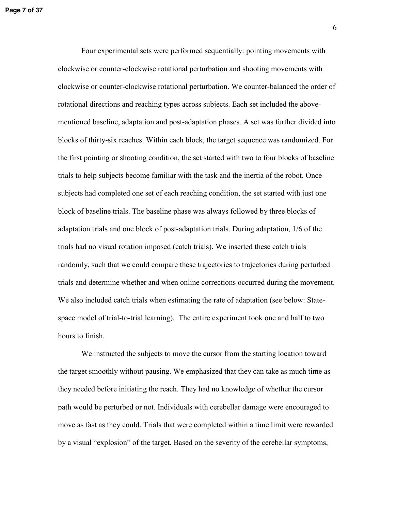Four experimental sets were performed sequentially: pointing movements with clockwise or counter-clockwise rotational perturbation and shooting movements with clockwise or counter-clockwise rotational perturbation. We counter-balanced the order of rotational directions and reaching types across subjects. Each set included the abovementioned baseline, adaptation and post-adaptation phases. A set was further divided into blocks of thirty-six reaches. Within each block, the target sequence was randomized. For the first pointing or shooting condition, the set started with two to four blocks of baseline trials to help subjects become familiar with the task and the inertia of the robot. Once subjects had completed one set of each reaching condition, the set started with just one block of baseline trials. The baseline phase was always followed by three blocks of adaptation trials and one block of post-adaptation trials. During adaptation, 1/6 of the trials had no visual rotation imposed (catch trials). We inserted these catch trials randomly, such that we could compare these trajectories to trajectories during perturbed trials and determine whether and when online corrections occurred during the movement. We also included catch trials when estimating the rate of adaptation (see below: Statespace model of trial-to-trial learning). The entire experiment took one and half to two hours to finish.

We instructed the subjects to move the cursor from the starting location toward the target smoothly without pausing. We emphasized that they can take as much time as they needed before initiating the reach. They had no knowledge of whether the cursor path would be perturbed or not. Individuals with cerebellar damage were encouraged to move as fast as they could. Trials that were completed within a time limit were rewarded by a visual "explosion" of the target. Based on the severity of the cerebellar symptoms,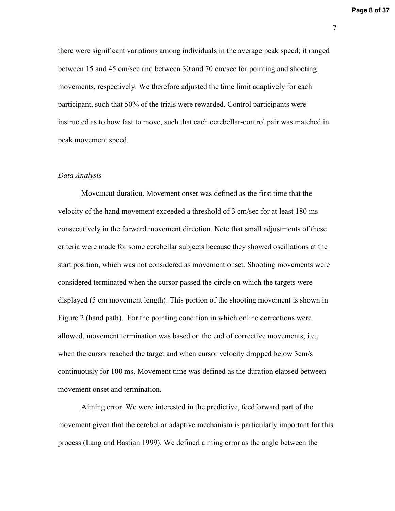**Page 8 of 37**

7

there were significant variations among individuals in the average peak speed; it ranged between 15 and 45 cm/sec and between 30 and 70 cm/sec for pointing and shooting movements, respectively. We therefore adjusted the time limit adaptively for each participant, such that 50% of the trials were rewarded. Control participants were instructed as to how fast to move, such that each cerebellar-control pair was matched in peak movement speed.

### *Data Analysis*

Movement duration. Movement onset was defined as the first time that the velocity of the hand movement exceeded a threshold of 3 cm/sec for at least 180 ms consecutively in the forward movement direction. Note that small adjustments of these criteria were made for some cerebellar subjects because they showed oscillations at the start position, which was not considered as movement onset. Shooting movements were considered terminated when the cursor passed the circle on which the targets were displayed (5 cm movement length). This portion of the shooting movement is shown in Figure 2 (hand path). For the pointing condition in which online corrections were allowed, movement termination was based on the end of corrective movements, i.e., when the cursor reached the target and when cursor velocity dropped below 3cm/s continuously for 100 ms. Movement time was defined as the duration elapsed between movement onset and termination.

Aiming error. We were interested in the predictive, feedforward part of the movement given that the cerebellar adaptive mechanism is particularly important for this process (Lang and Bastian 1999). We defined aiming error as the angle between the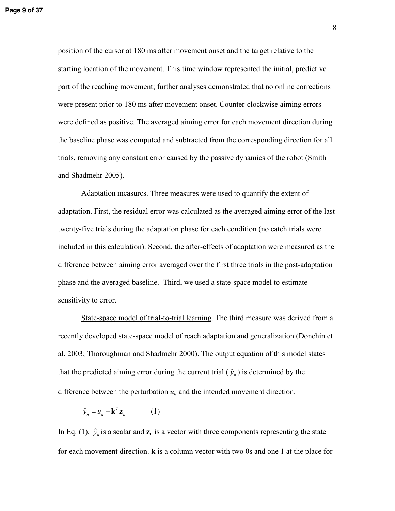position of the cursor at 180 ms after movement onset and the target relative to the starting location of the movement. This time window represented the initial, predictive part of the reaching movement; further analyses demonstrated that no online corrections were present prior to 180 ms after movement onset. Counter-clockwise aiming errors were defined as positive. The averaged aiming error for each movement direction during the baseline phase was computed and subtracted from the corresponding direction for all trials, removing any constant error caused by the passive dynamics of the robot (Smith and Shadmehr 2005).

Adaptation measures. Three measures were used to quantify the extent of adaptation. First, the residual error was calculated as the averaged aiming error of the last twenty-five trials during the adaptation phase for each condition (no catch trials were included in this calculation). Second, the after-effects of adaptation were measured as the difference between aiming error averaged over the first three trials in the post-adaptation phase and the averaged baseline. Third, we used a state-space model to estimate sensitivity to error.

State-space model of trial-to-trial learning. The third measure was derived from a recently developed state-space model of reach adaptation and generalization (Donchin et al. 2003; Thoroughman and Shadmehr 2000). The output equation of this model states that the predicted aiming error during the current trial  $(\hat{y}_n)$  is determined by the difference between the perturbation  $u_n$  and the intended movement direction.

$$
\hat{y}_n = u_n - \mathbf{k}^T \mathbf{z}_n \tag{1}
$$

In Eq. (1),  $\hat{y}_n$  is a scalar and  $z_n$  is a vector with three components representing the state for each movement direction. **k** is a column vector with two 0s and one 1 at the place for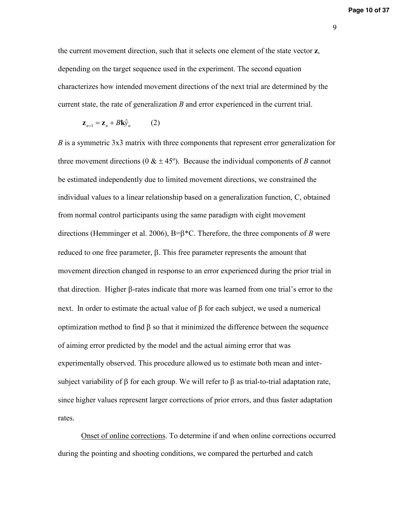the current movement direction, such that it selects one element of the state vector **z**, depending on the target sequence used in the experiment. The second equation characterizes how intended movement directions of the next trial are determined by the current state, the rate of generalization *B* and error experienced in the current trial.

$$
\mathbf{z}_{n+1} = \mathbf{z}_n + B \mathbf{k} \hat{\mathbf{y}}_n \tag{2}
$$

*B* is a symmetric 3x3 matrix with three components that represent error generalization for three movement directions ( $0 \& \pm 45^{\circ}$ ). Because the individual components of *B* cannot be estimated independently due to limited movement directions, we constrained the individual values to a linear relationship based on a generalization function, C, obtained from normal control participants using the same paradigm with eight movement directions (Hemminger et al. 2006),  $B = \beta * C$ . Therefore, the three components of *B* were reduced to one free parameter,  $\beta$ . This free parameter represents the amount that movement direction changed in response to an error experienced during the prior trial in that direction. Higher  $\beta$ -rates indicate that more was learned from one trial's error to the next. In order to estimate the actual value of  $\beta$  for each subject, we used a numerical optimization method to find  $\beta$  so that it minimized the difference between the sequence of aiming error predicted by the model and the actual aiming error that was experimentally observed. This procedure allowed us to estimate both mean and intersubject variability of  $\beta$  for each group. We will refer to  $\beta$  as trial-to-trial adaptation rate, since higher values represent larger corrections of prior errors, and thus faster adaptation rates.

Onset of online corrections. To determine if and when online corrections occurred during the pointing and shooting conditions, we compared the perturbed and catch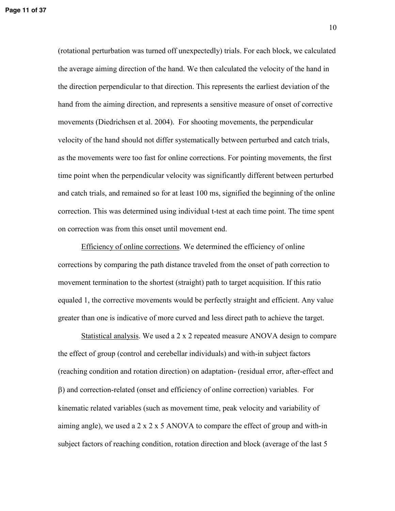(rotational perturbation was turned off unexpectedly) trials. For each block, we calculated the average aiming direction of the hand. We then calculated the velocity of the hand in the direction perpendicular to that direction. This represents the earliest deviation of the hand from the aiming direction, and represents a sensitive measure of onset of corrective movements (Diedrichsen et al. 2004). For shooting movements, the perpendicular velocity of the hand should not differ systematically between perturbed and catch trials, as the movements were too fast for online corrections. For pointing movements, the first time point when the perpendicular velocity was significantly different between perturbed and catch trials, and remained so for at least 100 ms, signified the beginning of the online correction. This was determined using individual t-test at each time point. The time spent on correction was from this onset until movement end.

Efficiency of online corrections. We determined the efficiency of online corrections by comparing the path distance traveled from the onset of path correction to movement termination to the shortest (straight) path to target acquisition. If this ratio equaled 1, the corrective movements would be perfectly straight and efficient. Any value greater than one is indicative of more curved and less direct path to achieve the target.

Statistical analysis. We used a 2 x 2 repeated measure ANOVA design to compare the effect of group (control and cerebellar individuals) and with-in subject factors (reaching condition and rotation direction) on adaptation- (residual error, after-effect and  $\beta$ ) and correction-related (onset and efficiency of online correction) variables. For kinematic related variables (such as movement time, peak velocity and variability of aiming angle), we used a 2 x 2 x 5 ANOVA to compare the effect of group and with-in subject factors of reaching condition, rotation direction and block (average of the last 5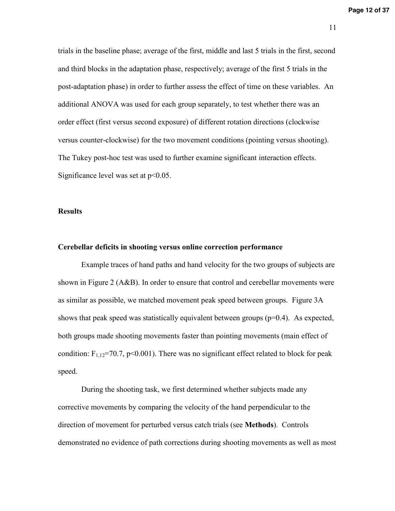trials in the baseline phase; average of the first, middle and last 5 trials in the first, second and third blocks in the adaptation phase, respectively; average of the first 5 trials in the post-adaptation phase) in order to further assess the effect of time on these variables. An additional ANOVA was used for each group separately, to test whether there was an order effect (first versus second exposure) of different rotation directions (clockwise versus counter-clockwise) for the two movement conditions (pointing versus shooting). The Tukey post-hoc test was used to further examine significant interaction effects. Significance level was set at p<0.05.

### **Results**

#### **Cerebellar deficits in shooting versus online correction performance**

Example traces of hand paths and hand velocity for the two groups of subjects are shown in Figure 2 (A&B). In order to ensure that control and cerebellar movements were as similar as possible, we matched movement peak speed between groups. Figure 3A shows that peak speed was statistically equivalent between groups  $(p=0.4)$ . As expected, both groups made shooting movements faster than pointing movements (main effect of condition:  $F_{1,12}$ =70.7, p<0.001). There was no significant effect related to block for peak speed.

During the shooting task, we first determined whether subjects made any corrective movements by comparing the velocity of the hand perpendicular to the direction of movement for perturbed versus catch trials (see **Methods**). Controls demonstrated no evidence of path corrections during shooting movements as well as most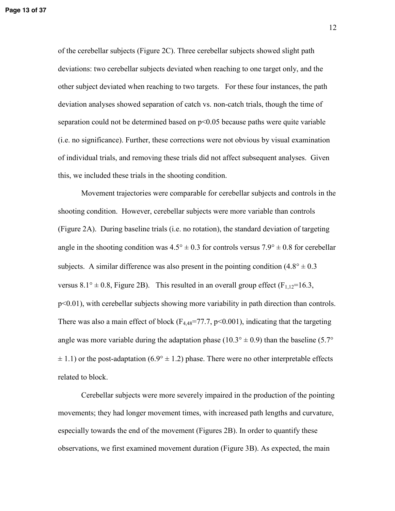of the cerebellar subjects (Figure 2C). Three cerebellar subjects showed slight path deviations: two cerebellar subjects deviated when reaching to one target only, and the other subject deviated when reaching to two targets. For these four instances, the path deviation analyses showed separation of catch vs. non-catch trials, though the time of separation could not be determined based on  $p<0.05$  because paths were quite variable (i.e. no significance). Further, these corrections were not obvious by visual examination of individual trials, and removing these trials did not affect subsequent analyses. Given this, we included these trials in the shooting condition.

Movement trajectories were comparable for cerebellar subjects and controls in the shooting condition. However, cerebellar subjects were more variable than controls (Figure 2A). During baseline trials (i.e. no rotation), the standard deviation of targeting angle in the shooting condition was  $4.5^{\circ} \pm 0.3$  for controls versus  $7.9^{\circ} \pm 0.8$  for cerebellar subjects. A similar difference was also present in the pointing condition  $(4.8^{\circ} \pm 0.3)$ versus 8.1°  $\pm$  0.8, Figure 2B). This resulted in an overall group effect (F<sub>1,12</sub>=16.3, p<0.01), with cerebellar subjects showing more variability in path direction than controls. There was also a main effect of block  $(F_{4,48} = 77.7, p \le 0.001)$ , indicating that the targeting angle was more variable during the adaptation phase (10.3°  $\pm$  0.9) than the baseline (5.7°  $\pm$  1.1) or the post-adaptation (6.9°  $\pm$  1.2) phase. There were no other interpretable effects related to block.

Cerebellar subjects were more severely impaired in the production of the pointing movements; they had longer movement times, with increased path lengths and curvature, especially towards the end of the movement (Figures 2B). In order to quantify these observations, we first examined movement duration (Figure 3B). As expected, the main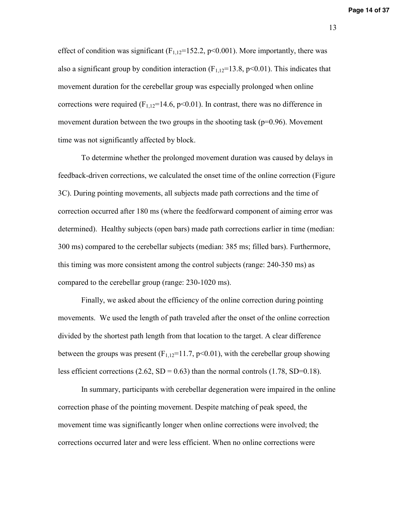**Page 14 of 37**

13

effect of condition was significant  $(F_{1,12}=152.2, p<0.001)$ . More importantly, there was also a significant group by condition interaction  $(F_{1,12}=13.8, p<0.01)$ . This indicates that movement duration for the cerebellar group was especially prolonged when online corrections were required ( $F_{1,12}=14.6$ , p<0.01). In contrast, there was no difference in movement duration between the two groups in the shooting task ( $p=0.96$ ). Movement time was not significantly affected by block.

To determine whether the prolonged movement duration was caused by delays in feedback-driven corrections, we calculated the onset time of the online correction (Figure 3C). During pointing movements, all subjects made path corrections and the time of correction occurred after 180 ms (where the feedforward component of aiming error was determined). Healthy subjects (open bars) made path corrections earlier in time (median: 300 ms) compared to the cerebellar subjects (median: 385 ms; filled bars). Furthermore, this timing was more consistent among the control subjects (range: 240-350 ms) as compared to the cerebellar group (range: 230-1020 ms).

Finally, we asked about the efficiency of the online correction during pointing movements. We used the length of path traveled after the onset of the online correction divided by the shortest path length from that location to the target. A clear difference between the groups was present  $(F_{1,12}=11.7, p<0.01)$ , with the cerebellar group showing less efficient corrections  $(2.62, SD = 0.63)$  than the normal controls  $(1.78, SD = 0.18)$ .

In summary, participants with cerebellar degeneration were impaired in the online correction phase of the pointing movement. Despite matching of peak speed, the movement time was significantly longer when online corrections were involved; the corrections occurred later and were less efficient. When no online corrections were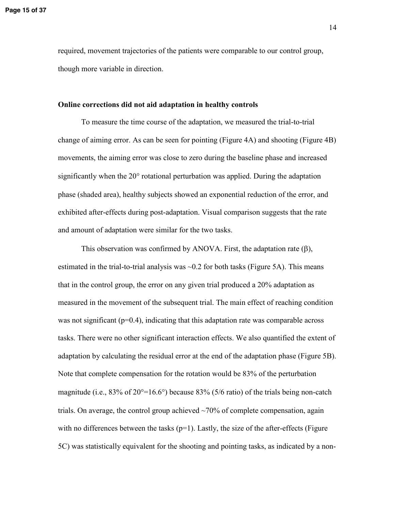required, movement trajectories of the patients were comparable to our control group, though more variable in direction.

#### **Online corrections did not aid adaptation in healthy controls**

To measure the time course of the adaptation, we measured the trial-to-trial change of aiming error. As can be seen for pointing (Figure 4A) and shooting (Figure 4B) movements, the aiming error was close to zero during the baseline phase and increased significantly when the 20° rotational perturbation was applied. During the adaptation phase (shaded area), healthy subjects showed an exponential reduction of the error, and exhibited after-effects during post-adaptation. Visual comparison suggests that the rate and amount of adaptation were similar for the two tasks.

This observation was confirmed by ANOVA. First, the adaptation rate  $(\beta)$ , estimated in the trial-to-trial analysis was  $\sim 0.2$  for both tasks (Figure 5A). This means that in the control group, the error on any given trial produced a 20% adaptation as measured in the movement of the subsequent trial. The main effect of reaching condition was not significant ( $p=0.4$ ), indicating that this adaptation rate was comparable across tasks. There were no other significant interaction effects. We also quantified the extent of adaptation by calculating the residual error at the end of the adaptation phase (Figure 5B). Note that complete compensation for the rotation would be 83% of the perturbation magnitude (i.e., 83% of  $20^{\circ}$ =16.6°) because 83% (5/6 ratio) of the trials being non-catch trials. On average, the control group achieved  $\sim$ 70% of complete compensation, again with no differences between the tasks  $(p=1)$ . Lastly, the size of the after-effects (Figure 5C) was statistically equivalent for the shooting and pointing tasks, as indicated by a non-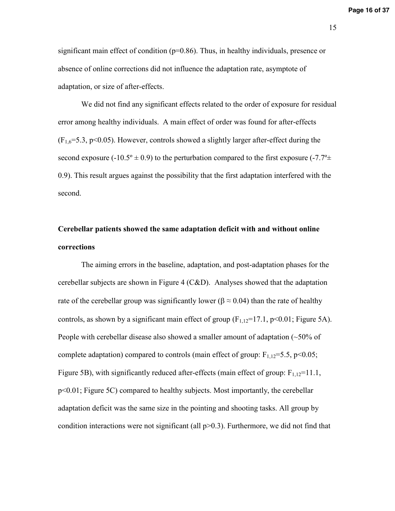**Page 16 of 37**

significant main effect of condition  $(p=0.86)$ . Thus, in healthy individuals, presence or absence of online corrections did not influence the adaptation rate, asymptote of adaptation, or size of after-effects.

We did not find any significant effects related to the order of exposure for residual error among healthy individuals. A main effect of order was found for after-effects  $(F_{1,6}=5.3, p<0.05)$ . However, controls showed a slightly larger after-effect during the second exposure (-10.5°  $\pm$  0.9) to the perturbation compared to the first exposure (-7.7° $\pm$ 0.9). This result argues against the possibility that the first adaptation interfered with the second.

# **Cerebellar patients showed the same adaptation deficit with and without online corrections**

The aiming errors in the baseline, adaptation, and post-adaptation phases for the cerebellar subjects are shown in Figure 4 (C&D). Analyses showed that the adaptation rate of the cerebellar group was significantly lower ( $\beta \approx 0.04$ ) than the rate of healthy controls, as shown by a significant main effect of group  $(F_{1,12}=17.1, p<0.01;$  Figure 5A). People with cerebellar disease also showed a smaller amount of adaptation (~50% of complete adaptation) compared to controls (main effect of group:  $F_{1,12} = 5.5$ , p<0.05; Figure 5B), with significantly reduced after-effects (main effect of group:  $F_{1,12}=11.1$ , p<0.01; Figure 5C) compared to healthy subjects. Most importantly, the cerebellar adaptation deficit was the same size in the pointing and shooting tasks. All group by condition interactions were not significant (all  $p>0.3$ ). Furthermore, we did not find that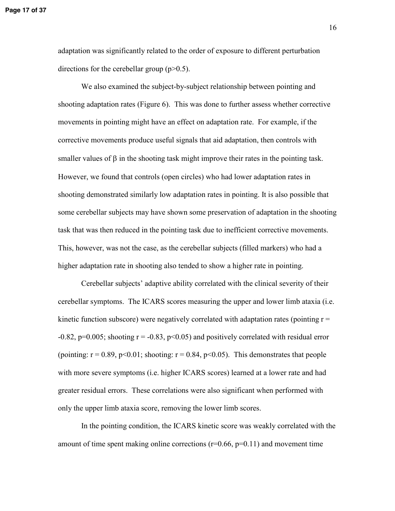adaptation was significantly related to the order of exposure to different perturbation directions for the cerebellar group  $(p>0.5)$ .

We also examined the subject-by-subject relationship between pointing and shooting adaptation rates (Figure 6). This was done to further assess whether corrective movements in pointing might have an effect on adaptation rate. For example, if the corrective movements produce useful signals that aid adaptation, then controls with smaller values of  $\beta$  in the shooting task might improve their rates in the pointing task. However, we found that controls (open circles) who had lower adaptation rates in shooting demonstrated similarly low adaptation rates in pointing. It is also possible that some cerebellar subjects may have shown some preservation of adaptation in the shooting task that was then reduced in the pointing task due to inefficient corrective movements. This, however, was not the case, as the cerebellar subjects (filled markers) who had a higher adaptation rate in shooting also tended to show a higher rate in pointing.

Cerebellar subjects' adaptive ability correlated with the clinical severity of their cerebellar symptoms. The ICARS scores measuring the upper and lower limb ataxia (i.e. kinetic function subscore) were negatively correlated with adaptation rates (pointing  $r =$  $-0.82$ , p=0.005; shooting r =  $-0.83$ , p<0.05) and positively correlated with residual error (pointing:  $r = 0.89$ ,  $p \le 0.01$ ; shooting:  $r = 0.84$ ,  $p \le 0.05$ ). This demonstrates that people with more severe symptoms (i.e. higher ICARS scores) learned at a lower rate and had greater residual errors. These correlations were also significant when performed with only the upper limb ataxia score, removing the lower limb scores.

In the pointing condition, the ICARS kinetic score was weakly correlated with the amount of time spent making online corrections  $(r=0.66, p=0.11)$  and movement time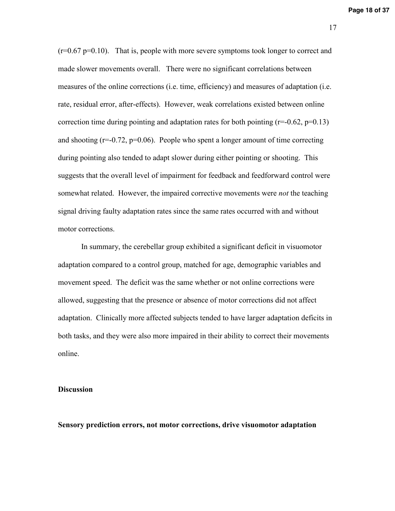**Page 18 of 37**

17

 $(r=0.67 \text{ p}=0.10)$ . That is, people with more severe symptoms took longer to correct and made slower movements overall. There were no significant correlations between measures of the online corrections (i.e. time, efficiency) and measures of adaptation (i.e. rate, residual error, after-effects). However, weak correlations existed between online correction time during pointing and adaptation rates for both pointing  $(r=0.62, p=0.13)$ and shooting  $(r=0.72, p=0.06)$ . People who spent a longer amount of time correcting during pointing also tended to adapt slower during either pointing or shooting. This suggests that the overall level of impairment for feedback and feedforward control were somewhat related. However, the impaired corrective movements were *not* the teaching signal driving faulty adaptation rates since the same rates occurred with and without motor corrections.

In summary, the cerebellar group exhibited a significant deficit in visuomotor adaptation compared to a control group, matched for age, demographic variables and movement speed. The deficit was the same whether or not online corrections were allowed, suggesting that the presence or absence of motor corrections did not affect adaptation. Clinically more affected subjects tended to have larger adaptation deficits in both tasks, and they were also more impaired in their ability to correct their movements online.

## **Discussion**

**Sensory prediction errors, not motor corrections, drive visuomotor adaptation**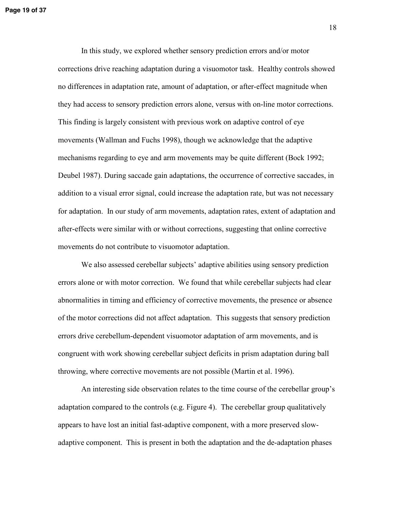In this study, we explored whether sensory prediction errors and/or motor corrections drive reaching adaptation during a visuomotor task. Healthy controls showed no differences in adaptation rate, amount of adaptation, or after-effect magnitude when they had access to sensory prediction errors alone, versus with on-line motor corrections. This finding is largely consistent with previous work on adaptive control of eye movements (Wallman and Fuchs 1998), though we acknowledge that the adaptive mechanisms regarding to eye and arm movements may be quite different (Bock 1992; Deubel 1987). During saccade gain adaptations, the occurrence of corrective saccades, in addition to a visual error signal, could increase the adaptation rate, but was not necessary for adaptation. In our study of arm movements, adaptation rates, extent of adaptation and after-effects were similar with or without corrections, suggesting that online corrective movements do not contribute to visuomotor adaptation.

We also assessed cerebellar subjects' adaptive abilities using sensory prediction errors alone or with motor correction. We found that while cerebellar subjects had clear abnormalities in timing and efficiency of corrective movements, the presence or absence of the motor corrections did not affect adaptation. This suggests that sensory prediction errors drive cerebellum-dependent visuomotor adaptation of arm movements, and is congruent with work showing cerebellar subject deficits in prism adaptation during ball throwing, where corrective movements are not possible (Martin et al. 1996).

An interesting side observation relates to the time course of the cerebellar group's adaptation compared to the controls (e.g. Figure 4). The cerebellar group qualitatively appears to have lost an initial fast-adaptive component, with a more preserved slowadaptive component. This is present in both the adaptation and the de-adaptation phases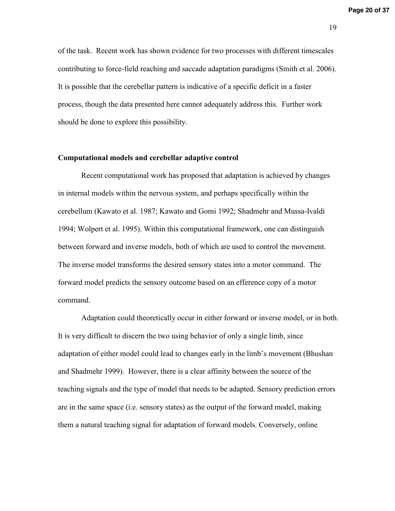**Page 20 of 37**

19

of the task. Recent work has shown evidence for two processes with different timescales contributing to force-field reaching and saccade adaptation paradigms (Smith et al. 2006). It is possible that the cerebellar pattern is indicative of a specific deficit in a faster process, though the data presented here cannot adequately address this. Further work should be done to explore this possibility.

## **Computational models and cerebellar adaptive control**

Recent computational work has proposed that adaptation is achieved by changes in internal models within the nervous system, and perhaps specifically within the cerebellum (Kawato et al. 1987; Kawato and Gomi 1992; Shadmehr and Mussa-Ivaldi 1994; Wolpert et al. 1995). Within this computational framework, one can distinguish between forward and inverse models, both of which are used to control the movement. The inverse model transforms the desired sensory states into a motor command. The forward model predicts the sensory outcome based on an efference copy of a motor command.

Adaptation could theoretically occur in either forward or inverse model, or in both. It is very difficult to discern the two using behavior of only a single limb, since adaptation of either model could lead to changes early in the limb's movement (Bhushan and Shadmehr 1999). However, there is a clear affinity between the source of the teaching signals and the type of model that needs to be adapted. Sensory prediction errors are in the same space (i.e. sensory states) as the output of the forward model, making them a natural teaching signal for adaptation of forward models. Conversely, online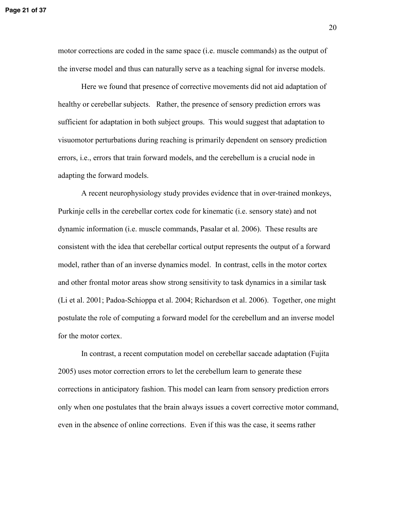motor corrections are coded in the same space (i.e. muscle commands) as the output of the inverse model and thus can naturally serve as a teaching signal for inverse models.

Here we found that presence of corrective movements did not aid adaptation of healthy or cerebellar subjects. Rather, the presence of sensory prediction errors was sufficient for adaptation in both subject groups. This would suggest that adaptation to visuomotor perturbations during reaching is primarily dependent on sensory prediction errors, i.e., errors that train forward models, and the cerebellum is a crucial node in adapting the forward models.

A recent neurophysiology study provides evidence that in over-trained monkeys, Purkinje cells in the cerebellar cortex code for kinematic (i.e. sensory state) and not dynamic information (i.e. muscle commands, Pasalar et al. 2006). These results are consistent with the idea that cerebellar cortical output represents the output of a forward model, rather than of an inverse dynamics model. In contrast, cells in the motor cortex and other frontal motor areas show strong sensitivity to task dynamics in a similar task (Li et al. 2001; Padoa-Schioppa et al. 2004; Richardson et al. 2006). Together, one might postulate the role of computing a forward model for the cerebellum and an inverse model for the motor cortex.

In contrast, a recent computation model on cerebellar saccade adaptation (Fujita 2005) uses motor correction errors to let the cerebellum learn to generate these corrections in anticipatory fashion. This model can learn from sensory prediction errors only when one postulates that the brain always issues a covert corrective motor command, even in the absence of online corrections. Even if this was the case, it seems rather

20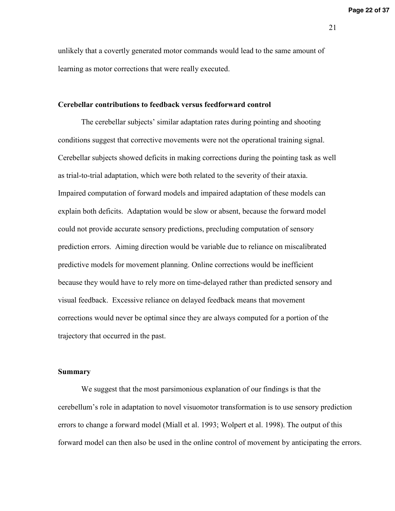**Page 22 of 37**

21

unlikely that a covertly generated motor commands would lead to the same amount of learning as motor corrections that were really executed.

## **Cerebellar contributions to feedback versus feedforward control**

The cerebellar subjects' similar adaptation rates during pointing and shooting conditions suggest that corrective movements were not the operational training signal. Cerebellar subjects showed deficits in making corrections during the pointing task as well as trial-to-trial adaptation, which were both related to the severity of their ataxia. Impaired computation of forward models and impaired adaptation of these models can explain both deficits. Adaptation would be slow or absent, because the forward model could not provide accurate sensory predictions, precluding computation of sensory prediction errors. Aiming direction would be variable due to reliance on miscalibrated predictive models for movement planning. Online corrections would be inefficient because they would have to rely more on time-delayed rather than predicted sensory and visual feedback. Excessive reliance on delayed feedback means that movement corrections would never be optimal since they are always computed for a portion of the trajectory that occurred in the past.

## **Summary**

We suggest that the most parsimonious explanation of our findings is that the cerebellum's role in adaptation to novel visuomotor transformation is to use sensory prediction errors to change a forward model (Miall et al. 1993; Wolpert et al. 1998). The output of this forward model can then also be used in the online control of movement by anticipating the errors.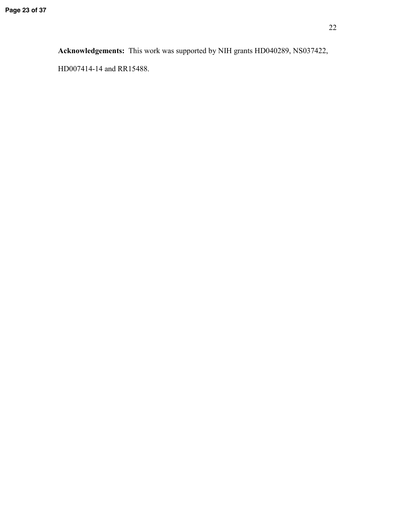**Acknowledgements:** This work was supported by NIH grants HD040289, NS037422,

HD007414-14 and RR15488.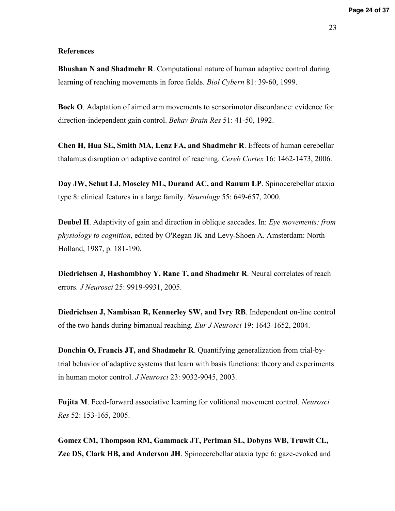# **References**

**Bhushan N and Shadmehr R**. Computational nature of human adaptive control during learning of reaching movements in force fields. *Biol Cybern* 81: 39-60, 1999.

**Bock O**. Adaptation of aimed arm movements to sensorimotor discordance: evidence for direction-independent gain control. *Behav Brain Res* 51: 41-50, 1992.

**Chen H, Hua SE, Smith MA, Lenz FA, and Shadmehr R**. Effects of human cerebellar thalamus disruption on adaptive control of reaching. *Cereb Cortex* 16: 1462-1473, 2006.

**Day JW, Schut LJ, Moseley ML, Durand AC, and Ranum LP**. Spinocerebellar ataxia type 8: clinical features in a large family. *Neurology* 55: 649-657, 2000.

**Deubel H**. Adaptivity of gain and direction in oblique saccades. In: *Eye movements: from physiology to cognition*, edited by O'Regan JK and Levy-Shoen A. Amsterdam: North Holland, 1987, p. 181-190.

**Diedrichsen J, Hashambhoy Y, Rane T, and Shadmehr R**. Neural correlates of reach errors. *J Neurosci* 25: 9919-9931, 2005.

**Diedrichsen J, Nambisan R, Kennerley SW, and Ivry RB**. Independent on-line control of the two hands during bimanual reaching. *Eur J Neurosci* 19: 1643-1652, 2004.

**Donchin O, Francis JT, and Shadmehr R**. Quantifying generalization from trial-bytrial behavior of adaptive systems that learn with basis functions: theory and experiments in human motor control. *J Neurosci* 23: 9032-9045, 2003.

**Fujita M**. Feed-forward associative learning for volitional movement control. *Neurosci Res* 52: 153-165, 2005.

**Gomez CM, Thompson RM, Gammack JT, Perlman SL, Dobyns WB, Truwit CL, Zee DS, Clark HB, and Anderson JH**. Spinocerebellar ataxia type 6: gaze-evoked and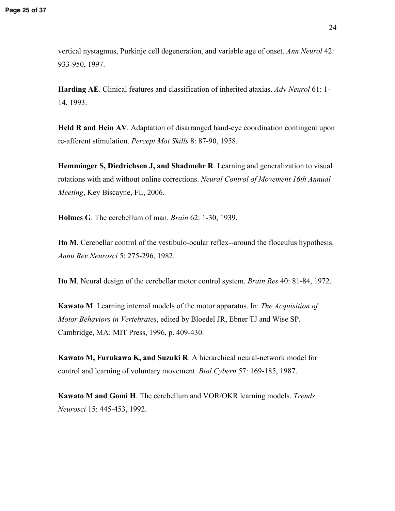vertical nystagmus, Purkinje cell degeneration, and variable age of onset. *Ann Neurol* 42: 933-950, 1997.

**Harding AE**. Clinical features and classification of inherited ataxias. *Adv Neurol* 61: 1- 14, 1993.

**Held R and Hein AV**. Adaptation of disarranged hand-eye coordination contingent upon re-afferent stimulation. *Percept Mot Skills* 8: 87-90, 1958.

**Hemminger S, Diedrichsen J, and Shadmehr R**. Learning and generalization to visual rotations with and without online corrections. *Neural Control of Movement 16th Annual Meeting*, Key Biscayne, FL, 2006.

**Holmes G**. The cerebellum of man. *Brain* 62: 1-30, 1939.

**Ito M**. Cerebellar control of the vestibulo-ocular reflex--around the flocculus hypothesis. *Annu Rev Neurosci* 5: 275-296, 1982.

**Ito M**. Neural design of the cerebellar motor control system. *Brain Res* 40: 81-84, 1972.

**Kawato M**. Learning internal models of the motor apparatus. In: *The Acquisition of Motor Behaviors in Vertebrates*, edited by Bloedel JR, Ebner TJ and Wise SP. Cambridge, MA: MIT Press, 1996, p. 409-430.

**Kawato M, Furukawa K, and Suzuki R**. A hierarchical neural-network model for control and learning of voluntary movement. *Biol Cybern* 57: 169-185, 1987.

**Kawato M and Gomi H**. The cerebellum and VOR/OKR learning models. *Trends Neurosci* 15: 445-453, 1992.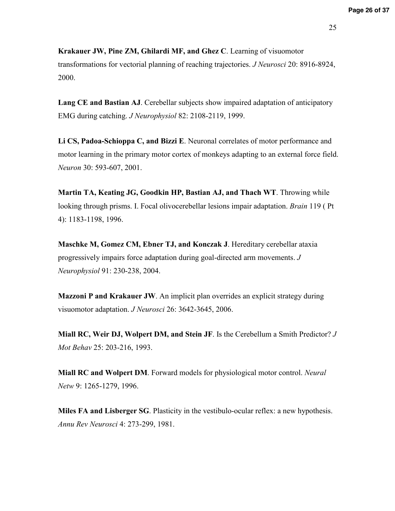**Krakauer JW, Pine ZM, Ghilardi MF, and Ghez C**. Learning of visuomotor transformations for vectorial planning of reaching trajectories. *J Neurosci* 20: 8916-8924, 2000.

**Lang CE and Bastian AJ**. Cerebellar subjects show impaired adaptation of anticipatory EMG during catching. *J Neurophysiol* 82: 2108-2119, 1999.

**Li CS, Padoa-Schioppa C, and Bizzi E**. Neuronal correlates of motor performance and motor learning in the primary motor cortex of monkeys adapting to an external force field. *Neuron* 30: 593-607, 2001.

**Martin TA, Keating JG, Goodkin HP, Bastian AJ, and Thach WT**. Throwing while looking through prisms. I. Focal olivocerebellar lesions impair adaptation. *Brain* 119 ( Pt 4): 1183-1198, 1996.

**Maschke M, Gomez CM, Ebner TJ, and Konczak J**. Hereditary cerebellar ataxia progressively impairs force adaptation during goal-directed arm movements. *J Neurophysiol* 91: 230-238, 2004.

**Mazzoni P and Krakauer JW**. An implicit plan overrides an explicit strategy during visuomotor adaptation. *J Neurosci* 26: 3642-3645, 2006.

**Miall RC, Weir DJ, Wolpert DM, and Stein JF**. Is the Cerebellum a Smith Predictor? *J Mot Behav* 25: 203-216, 1993.

**Miall RC and Wolpert DM**. Forward models for physiological motor control. *Neural Netw* 9: 1265-1279, 1996.

**Miles FA and Lisberger SG**. Plasticity in the vestibulo-ocular reflex: a new hypothesis. *Annu Rev Neurosci* 4: 273-299, 1981.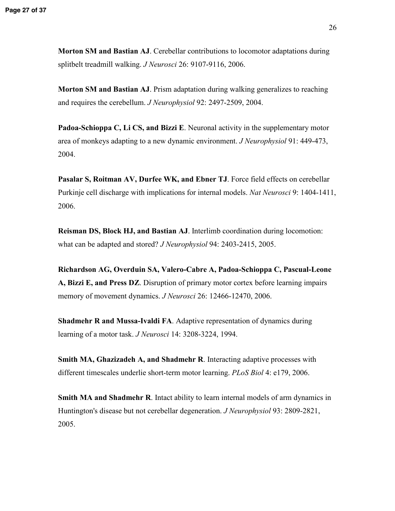**Morton SM and Bastian AJ**. Cerebellar contributions to locomotor adaptations during splitbelt treadmill walking. *J Neurosci* 26: 9107-9116, 2006.

**Morton SM and Bastian AJ**. Prism adaptation during walking generalizes to reaching and requires the cerebellum. *J Neurophysiol* 92: 2497-2509, 2004.

**Padoa-Schioppa C, Li CS, and Bizzi E**. Neuronal activity in the supplementary motor area of monkeys adapting to a new dynamic environment. *J Neurophysiol* 91: 449-473, 2004.

**Pasalar S, Roitman AV, Durfee WK, and Ebner TJ**. Force field effects on cerebellar Purkinje cell discharge with implications for internal models. *Nat Neurosci* 9: 1404-1411, 2006.

**Reisman DS, Block HJ, and Bastian AJ**. Interlimb coordination during locomotion: what can be adapted and stored? *J Neurophysiol* 94: 2403-2415, 2005.

**Richardson AG, Overduin SA, Valero-Cabre A, Padoa-Schioppa C, Pascual-Leone A, Bizzi E, and Press DZ**. Disruption of primary motor cortex before learning impairs memory of movement dynamics. *J Neurosci* 26: 12466-12470, 2006.

**Shadmehr R and Mussa-Ivaldi FA**. Adaptive representation of dynamics during learning of a motor task. *J Neurosci* 14: 3208-3224, 1994.

**Smith MA, Ghazizadeh A, and Shadmehr R**. Interacting adaptive processes with different timescales underlie short-term motor learning. *PLoS Biol* 4: e179, 2006.

**Smith MA and Shadmehr R**. Intact ability to learn internal models of arm dynamics in Huntington's disease but not cerebellar degeneration. *J Neurophysiol* 93: 2809-2821, 2005.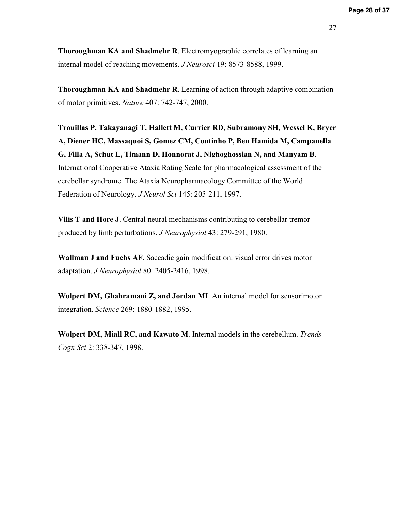**Thoroughman KA and Shadmehr R**. Electromyographic correlates of learning an internal model of reaching movements. *J Neurosci* 19: 8573-8588, 1999.

**Thoroughman KA and Shadmehr R**. Learning of action through adaptive combination of motor primitives. *Nature* 407: 742-747, 2000.

**Trouillas P, Takayanagi T, Hallett M, Currier RD, Subramony SH, Wessel K, Bryer A, Diener HC, Massaquoi S, Gomez CM, Coutinho P, Ben Hamida M, Campanella G, Filla A, Schut L, Timann D, Honnorat J, Nighoghossian N, and Manyam B**. International Cooperative Ataxia Rating Scale for pharmacological assessment of the cerebellar syndrome. The Ataxia Neuropharmacology Committee of the World Federation of Neurology. *J Neurol Sci* 145: 205-211, 1997.

**Vilis T and Hore J**. Central neural mechanisms contributing to cerebellar tremor produced by limb perturbations. *J Neurophysiol* 43: 279-291, 1980.

**Wallman J and Fuchs AF**. Saccadic gain modification: visual error drives motor adaptation. *J Neurophysiol* 80: 2405-2416, 1998.

**Wolpert DM, Ghahramani Z, and Jordan MI**. An internal model for sensorimotor integration. *Science* 269: 1880-1882, 1995.

**Wolpert DM, Miall RC, and Kawato M**. Internal models in the cerebellum. *Trends Cogn Sci* 2: 338-347, 1998.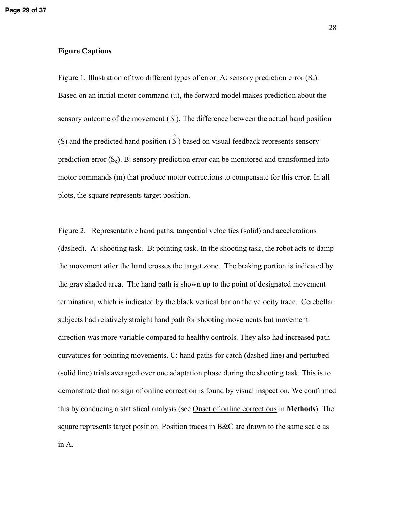# **Figure Captions**

Figure 1. Illustration of two different types of error. A: sensory prediction error  $(S_e)$ . Based on an initial motor command (u), the forward model makes prediction about the sensory outcome of the movement  $(\hat{S})$ . The difference between the actual hand position (S) and the predicted hand position  $(S)$  based on visual feedback represents sensory prediction error  $(S_e)$ . B: sensory prediction error can be monitored and transformed into motor commands (m) that produce motor corrections to compensate for this error. In all plots, the square represents target position.

Figure 2. Representative hand paths, tangential velocities (solid) and accelerations (dashed). A: shooting task. B: pointing task. In the shooting task, the robot acts to damp the movement after the hand crosses the target zone. The braking portion is indicated by the gray shaded area. The hand path is shown up to the point of designated movement termination, which is indicated by the black vertical bar on the velocity trace. Cerebellar subjects had relatively straight hand path for shooting movements but movement direction was more variable compared to healthy controls. They also had increased path curvatures for pointing movements. C: hand paths for catch (dashed line) and perturbed (solid line) trials averaged over one adaptation phase during the shooting task. This is to demonstrate that no sign of online correction is found by visual inspection. We confirmed this by conducing a statistical analysis (see Onset of online corrections in **Methods**). The square represents target position. Position traces in B&C are drawn to the same scale as in A.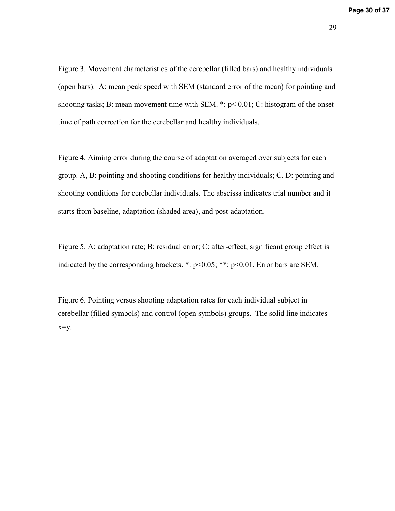Figure 3. Movement characteristics of the cerebellar (filled bars) and healthy individuals (open bars). A: mean peak speed with SEM (standard error of the mean) for pointing and shooting tasks; B: mean movement time with SEM. \*: p< 0.01; C: histogram of the onset time of path correction for the cerebellar and healthy individuals.

Figure 4. Aiming error during the course of adaptation averaged over subjects for each group. A, B: pointing and shooting conditions for healthy individuals; C, D: pointing and shooting conditions for cerebellar individuals. The abscissa indicates trial number and it starts from baseline, adaptation (shaded area), and post-adaptation.

Figure 5. A: adaptation rate; B: residual error; C: after-effect; significant group effect is indicated by the corresponding brackets. \*: p<0.05; \*\*: p<0.01. Error bars are SEM.

Figure 6. Pointing versus shooting adaptation rates for each individual subject in cerebellar (filled symbols) and control (open symbols) groups. The solid line indicates x=y.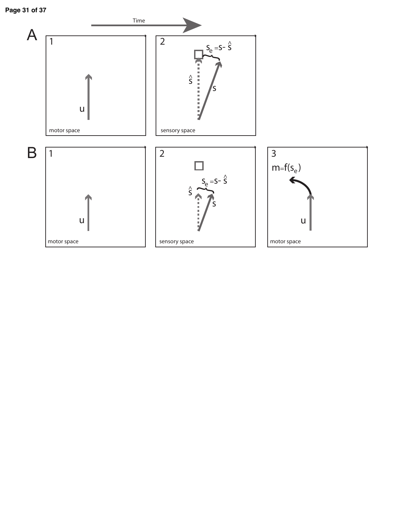**Page 31 of 37**

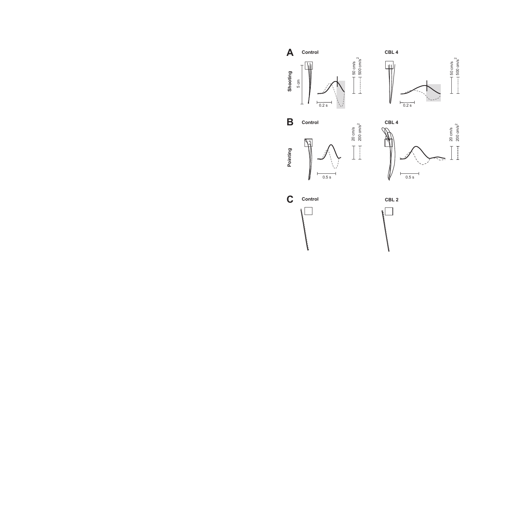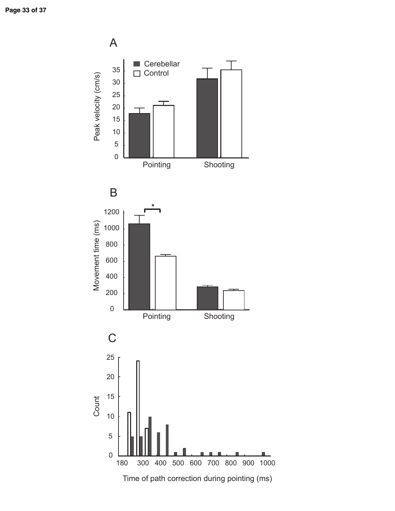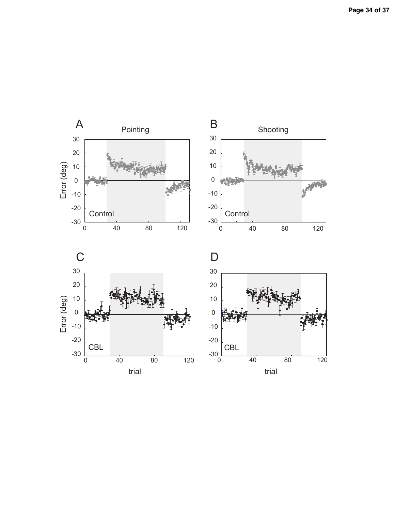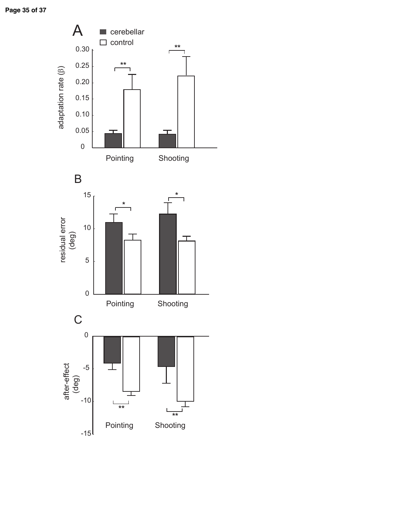





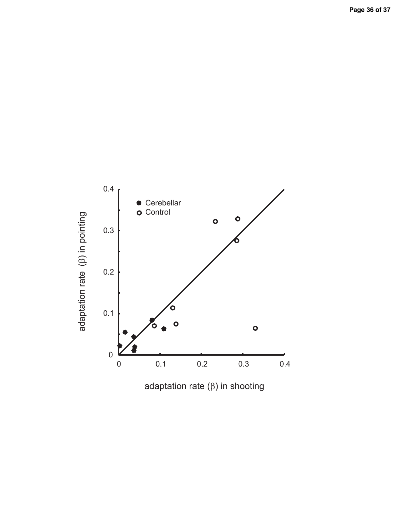